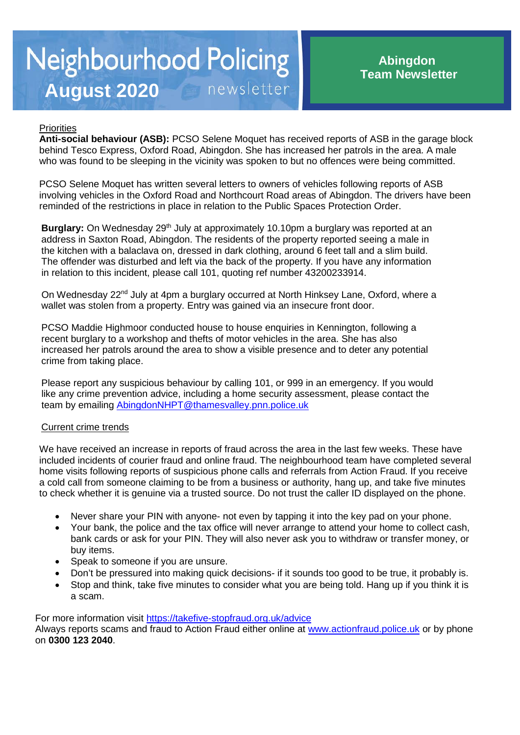# **Neighbourhood Policing** newsletter **August 2020**

## **Priorities**

**Anti-social behaviour (ASB):** PCSO Selene Moquet has received reports of ASB in the garage block behind Tesco Express, Oxford Road, Abingdon. She has increased her patrols in the area. A male who was found to be sleeping in the vicinity was spoken to but no offences were being committed.

PCSO Selene Moquet has written several letters to owners of vehicles following reports of ASB involving vehicles in the Oxford Road and Northcourt Road areas of Abingdon. The drivers have been reminded of the restrictions in place in relation to the Public Spaces Protection Order.

Burglary: On Wednesday 29<sup>th</sup> July at approximately 10.10pm a burglary was reported at an address in Saxton Road, Abingdon. The residents of the property reported seeing a male in the kitchen with a balaclava on, dressed in dark clothing, around 6 feet tall and a slim build. The offender was disturbed and left via the back of the property. If you have any information in relation to this incident, please call 101, quoting ref number 43200233914.

On Wednesday 22<sup>nd</sup> July at 4pm a burglary occurred at North Hinksey Lane, Oxford, where a wallet was stolen from a property. Entry was gained via an insecure front door.

PCSO Maddie Highmoor conducted house to house enquiries in Kennington, following a recent burglary to a workshop and thefts of motor vehicles in the area. She has also increased her patrols around the area to show a visible presence and to deter any potential crime from taking place.

Please report any suspicious behaviour by calling 101, or 999 in an emergency. If you would like any crime prevention advice, including a home security assessment, please contact the team by emailing [AbingdonNHPT@thamesvalley.pnn.police.uk](mailto:AbingdonNHPT@thamesvalley.pnn.police.uk)

## Current crime trends

We have received an increase in reports of fraud across the area in the last few weeks. These have included incidents of courier fraud and online fraud. The neighbourhood team have completed several home visits following reports of suspicious phone calls and referrals from Action Fraud. If you receive a cold call from someone claiming to be from a business or authority, hang up, and take five minutes to check whether it is genuine via a trusted source. Do not trust the caller ID displayed on the phone.

- Never share your PIN with anyone- not even by tapping it into the key pad on your phone.
- Your bank, the police and the tax office will never arrange to attend your home to collect cash, bank cards or ask for your PIN. They will also never ask you to withdraw or transfer money, or buy items.
- Speak to someone if you are unsure.
- Don't be pressured into making quick decisions- if it sounds too good to be true, it probably is.
- Stop and think, take five minutes to consider what you are being told. Hang up if you think it is a scam.

For more information visit<https://takefive-stopfraud.org.uk/advice>

Always reports scams and fraud to Action Fraud either online at [www.actionfraud.police.uk](http://www.actionfraud.police.uk/) or by phone on **0300 123 2040**.